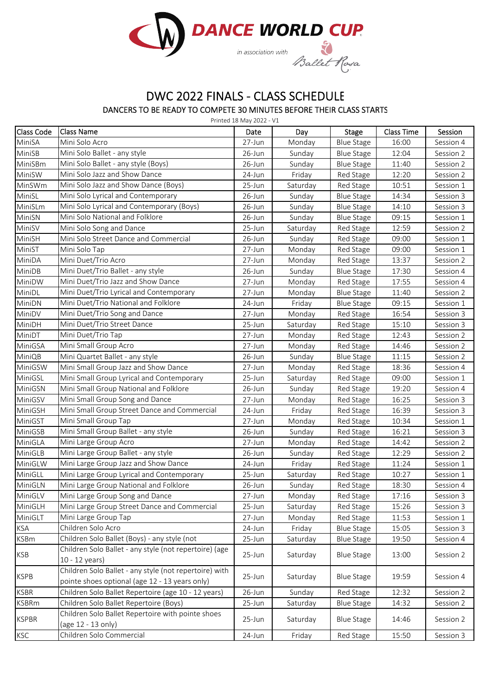

## DWC 2022 FINALS ‐ CLASS SCHEDULE

DANCERS TO BE READY TO COMPETE 30 MINUTES BEFORE THEIR CLASS STARTS

| Class Code   | <b>Class Name</b>                                                       | Date       | Day      | <b>Stage</b>      | <b>Class Time</b> | Session   |
|--------------|-------------------------------------------------------------------------|------------|----------|-------------------|-------------------|-----------|
| MiniSA       | Mini Solo Acro                                                          | 27-Jun     | Monday   | <b>Blue Stage</b> | 16:00             | Session 4 |
| MiniSB       | Mini Solo Ballet - any style                                            | 26-Jun     | Sunday   | <b>Blue Stage</b> | 12:04             | Session 2 |
| MiniSBm      | Mini Solo Ballet - any style (Boys)                                     | $26$ -Jun  | Sunday   | <b>Blue Stage</b> | 11:40             | Session 2 |
| MiniSW       | Mini Solo Jazz and Show Dance                                           | $24$ -Jun  | Friday   | Red Stage         | 12:20             | Session 2 |
| MinSWm       | Mini Solo Jazz and Show Dance (Boys)                                    | 25-Jun     | Saturday | Red Stage         | 10:51             | Session 1 |
| MiniSL       | Mini Solo Lyrical and Contemporary                                      | 26-Jun     | Sunday   | <b>Blue Stage</b> | 14:34             | Session 3 |
| MiniSLm      | Mini Solo Lyrical and Contemporary (Boys)                               | 26-Jun     | Sunday   | <b>Blue Stage</b> | 14:10             | Session 3 |
| MiniSN       | Mini Solo National and Folklore                                         | 26-Jun     | Sunday   | <b>Blue Stage</b> | 09:15             | Session 1 |
| MiniSV       | Mini Solo Song and Dance                                                | 25-Jun     | Saturday | Red Stage         | 12:59             | Session 2 |
| MiniSH       | Mini Solo Street Dance and Commercial                                   | 26-Jun     | Sunday   | Red Stage         | 09:00             | Session 1 |
| MiniST       | Mini Solo Tap                                                           | 27-Jun     | Monday   | Red Stage         | 09:00             | Session 1 |
| MiniDA       | Mini Duet/Trio Acro                                                     | 27-Jun     | Monday   | Red Stage         | 13:37             | Session 2 |
| MiniDB       | Mini Duet/Trio Ballet - any style                                       | 26-Jun     | Sunday   | <b>Blue Stage</b> | 17:30             | Session 4 |
| MiniDW       | Mini Duet/Trio Jazz and Show Dance                                      | $27 - Jun$ | Monday   | Red Stage         | 17:55             | Session 4 |
| MiniDL       | Mini Duet/Trio Lyrical and Contemporary                                 | 27-Jun     | Monday   | <b>Blue Stage</b> | 11:40             | Session 2 |
| MiniDN       | Mini Duet/Trio National and Folklore                                    | 24-Jun     | Friday   | <b>Blue Stage</b> | 09:15             | Session 1 |
| MiniDV       | Mini Duet/Trio Song and Dance                                           | 27-Jun     | Monday   | Red Stage         | 16:54             | Session 3 |
| MiniDH       | Mini Duet/Trio Street Dance                                             | 25-Jun     | Saturday | Red Stage         | 15:10             | Session 3 |
| MiniDT       | Mini Duet/Trio Tap                                                      | 27-Jun     | Monday   | Red Stage         | 12:43             | Session 2 |
| MiniGSA      | Mini Small Group Acro                                                   | 27-Jun     | Monday   | Red Stage         | 14:46             | Session 2 |
| MiniQB       | Mini Quartet Ballet - any style                                         | 26-Jun     | Sunday   | <b>Blue Stage</b> | 11:15             | Session 2 |
| MiniGSW      | Mini Small Group Jazz and Show Dance                                    | 27-Jun     | Monday   | Red Stage         | 18:36             | Session 4 |
| MiniGSL      | Mini Small Group Lyrical and Contemporary                               | 25-Jun     | Saturday | Red Stage         | 09:00             | Session 1 |
| MiniGSN      | Mini Small Group National and Folklore                                  | 26-Jun     | Sunday   | Red Stage         | 19:20             | Session 4 |
| MiniGSV      | Mini Small Group Song and Dance                                         | 27-Jun     | Monday   | Red Stage         | 16:25             | Session 3 |
| MiniGSH      | Mini Small Group Street Dance and Commercial                            | 24-Jun     | Friday   | Red Stage         | 16:39             | Session 3 |
| MiniGST      | Mini Small Group Tap                                                    | 27-Jun     | Monday   | Red Stage         | 10:34             | Session 1 |
| MiniGSB      | Mini Small Group Ballet - any style                                     | 26-Jun     | Sunday   | Red Stage         | 16:21             | Session 3 |
| MiniGLA      | Mini Large Group Acro                                                   | 27-Jun     | Monday   | Red Stage         | 14:42             | Session 2 |
| MiniGLB      | Mini Large Group Ballet - any style                                     | 26-Jun     | Sunday   | Red Stage         | 12:29             | Session 2 |
| MiniGLW      | Mini Large Group Jazz and Show Dance                                    | 24-Jun     | Friday   | Red Stage         | 11:24             | Session 1 |
| MiniGLL      | Mini Large Group Lyrical and Contemporary                               | 25-Jun     | Saturday | Red Stage         | 10:27             | Session 1 |
| MiniGLN      | Mini Large Group National and Folklore                                  | $26$ -Jun  | Sunday   | Red Stage         | 18:30             | Session 4 |
| MiniGLV      | Mini Large Group Song and Dance                                         | 27-Jun     | Monday   | Red Stage         | 17:16             | Session 3 |
| MiniGLH      | Mini Large Group Street Dance and Commercial                            | 25-Jun     | Saturday | Red Stage         | 15:26             | Session 3 |
| MiniGLT      | Mini Large Group Tap                                                    | 27-Jun     | Monday   | Red Stage         | 11:53             | Session 1 |
| KSA          | Children Solo Acro                                                      | 24-Jun     | Friday   | <b>Blue Stage</b> | 15:05             | Session 3 |
| KSBm         | Children Solo Ballet (Boys) - any style (not                            | 25-Jun     | Saturday | <b>Blue Stage</b> | 19:50             | Session 4 |
|              | Children Solo Ballet - any style (not repertoire) (age                  |            |          |                   |                   | Session 2 |
| KSB          | $10 - 12$ years)                                                        | 25-Jun     | Saturday | <b>Blue Stage</b> | 13:00             |           |
|              | Children Solo Ballet - any style (not repertoire) with                  |            | Saturday | <b>Blue Stage</b> | 19:59             | Session 4 |
| <b>KSPB</b>  | pointe shoes optional (age 12 - 13 years only)                          | 25-Jun     |          |                   |                   |           |
| <b>KSBR</b>  | Children Solo Ballet Repertoire (age 10 - 12 years)                     | 26-Jun     | Sunday   | Red Stage         | 12:32             | Session 2 |
| <b>KSBRm</b> | Children Solo Ballet Repertoire (Boys)                                  | 25-Jun     | Saturday | <b>Blue Stage</b> | 14:32             | Session 2 |
| KSPBR        | Children Solo Ballet Repertoire with pointe shoes<br>(age 12 - 13 only) | 25-Jun     | Saturday | <b>Blue Stage</b> | 14:46             | Session 2 |
| KSC          | Children Solo Commercial                                                |            |          | Red Stage         |                   |           |
|              |                                                                         | 24-Jun     | Friday   |                   | 15:50             | Session 3 |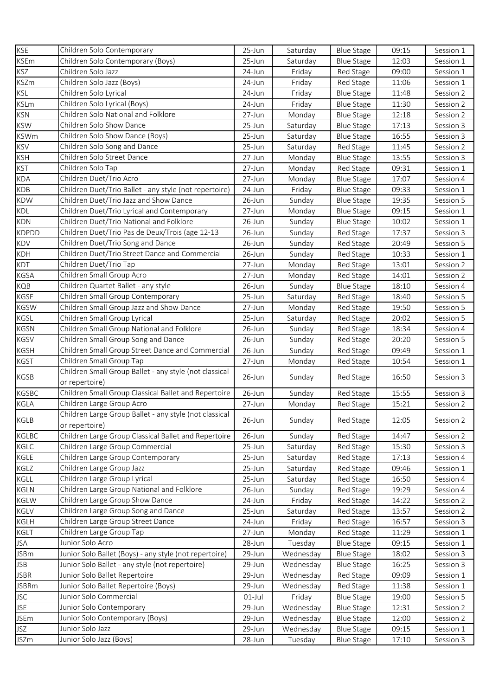| <b>KSE</b>               | Children Solo Contemporary                             | $25 - Jun$       | Saturday               | <b>Blue Stage</b> | 09:15          | Session 1 |
|--------------------------|--------------------------------------------------------|------------------|------------------------|-------------------|----------------|-----------|
| <b>KSEm</b>              | Children Solo Contemporary (Boys)                      | 25-Jun           | Saturday               | <b>Blue Stage</b> | 12:03          | Session 1 |
| <b>KSZ</b>               | Children Solo Jazz                                     | 24-Jun           | Friday                 | Red Stage         | 09:00          | Session 1 |
| <b>KSZm</b>              | Children Solo Jazz (Boys)                              | 24-Jun           | Friday                 | Red Stage         | 11:06          | Session 1 |
| <b>KSL</b>               | Children Solo Lyrical                                  | 24-Jun           | Friday                 | <b>Blue Stage</b> | 11:48          | Session 2 |
| <b>KSLm</b>              | Children Solo Lyrical (Boys)                           | 24-Jun           | Friday                 | <b>Blue Stage</b> | 11:30          | Session 2 |
| <b>KSN</b>               | Children Solo National and Folklore                    | 27-Jun           | Monday                 | <b>Blue Stage</b> | 12:18          | Session 2 |
| <b>KSW</b>               | Children Solo Show Dance                               | 25-Jun           | Saturday               | <b>Blue Stage</b> | 17:13          | Session 3 |
| <b>KSWm</b>              | Children Solo Show Dance (Boys)                        | $25 - Jun$       | Saturday               | <b>Blue Stage</b> | 16:55          | Session 3 |
| <b>KSV</b>               | Children Solo Song and Dance                           | 25-Jun           | Saturday               | Red Stage         | 11:45          | Session 2 |
| <b>KSH</b>               | Children Solo Street Dance                             | 27-Jun           | Monday                 | <b>Blue Stage</b> | 13:55          | Session 3 |
| <b>KST</b>               | Children Solo Tap                                      | 27-Jun           | Monday                 | Red Stage         | 09:31          | Session 1 |
| <b>KDA</b>               | Children Duet/Trio Acro                                | 27-Jun           | Monday                 | <b>Blue Stage</b> | 17:07          | Session 4 |
| <b>KDB</b>               | Children Duet/Trio Ballet - any style (not repertoire) | 24-Jun           | Friday                 | <b>Blue Stage</b> | 09:33          | Session 1 |
| <b>KDW</b>               | Children Duet/Trio Jazz and Show Dance                 | 26-Jun           | Sunday                 | <b>Blue Stage</b> | 19:35          | Session 5 |
| <b>KDL</b>               | Children Duet/Trio Lyrical and Contemporary            | 27-Jun           | Monday                 | <b>Blue Stage</b> | 09:15          | Session 1 |
| <b>KDN</b>               | Children Duet/Trio National and Folklore               | 26-Jun           | Sunday                 | <b>Blue Stage</b> | 10:02          | Session 1 |
| <b>KDPDD</b>             | Children Duet/Trio Pas de Deux/Trois (age 12-13        | 26-Jun           | Sunday                 | Red Stage         | 17:37          | Session 3 |
| KDV                      | Children Duet/Trio Song and Dance                      | 26-Jun           | Sunday                 | Red Stage         | 20:49          | Session 5 |
| KDH                      | Children Duet/Trio Street Dance and Commercial         | $26$ -Jun        | Sunday                 | Red Stage         | 10:33          | Session 1 |
| KDT                      | Children Duet/Trio Tap                                 | 27-Jun           | Monday                 | Red Stage         | 13:01          | Session 2 |
| <b>KGSA</b>              | Children Small Group Acro                              | 27-Jun           | Monday                 | Red Stage         | 14:01          | Session 2 |
| KQB                      | Children Quartet Ballet - any style                    | $26$ -Jun        | Sunday                 | <b>Blue Stage</b> | 18:10          | Session 4 |
| KGSE                     | Children Small Group Contemporary                      | $25 - Jun$       | Saturday               | Red Stage         | 18:40          | Session 5 |
| <b>KGSW</b>              | Children Small Group Jazz and Show Dance               | 27-Jun           | Monday                 | Red Stage         | 19:50          | Session 5 |
| KGSL                     | Children Small Group Lyrical                           | 25-Jun           | Saturday               | Red Stage         | 20:02          | Session 5 |
| <b>KGSN</b>              | Children Small Group National and Folklore             | 26-Jun           | Sunday                 | Red Stage         | 18:34          | Session 4 |
| <b>KGSV</b>              | Children Small Group Song and Dance                    | 26-Jun           | Sunday                 | Red Stage         | 20:20          | Session 5 |
| <b>KGSH</b>              | Children Small Group Street Dance and Commercial       | $26$ -Jun        | Sunday                 | Red Stage         | 09:49          | Session 1 |
| <b>KGST</b>              | Children Small Group Tap                               | 27-Jun           | Monday                 | Red Stage         | 10:54          | Session 1 |
|                          | Children Small Group Ballet - any style (not classical |                  |                        |                   |                |           |
| <b>KGSB</b>              | or repertoire)                                         | 26-Jun           | Sunday                 | Red Stage         | 16:50          | Session 3 |
| <b>KGSBC</b>             | Children Small Group Classical Ballet and Repertoire   | 26-Jun           | Sunday                 | Red Stage         | 15:55          | Session 3 |
| KGLA                     | Children Large Group Acro                              | 27-Jun           | Monday                 | Red Stage         | 15:21          | Session 2 |
|                          | Children Large Group Ballet - any style (not classical |                  |                        |                   |                |           |
| KGLB                     | or repertoire)                                         | 26-Jun           | Sunday                 | Red Stage         | 12:05          | Session 2 |
| KGLBC                    | Children Large Group Classical Ballet and Repertoire   | 26-Jun           | Sunday                 | Red Stage         | 14:47          | Session 2 |
| KGLC                     | Children Large Group Commercial                        | 25-Jun           | Saturday               | Red Stage         | 15:30          | Session 3 |
| KGLE                     | Children Large Group Contemporary                      | 25-Jun           | Saturday               | Red Stage         | 17:13          | Session 4 |
| KGLZ                     | Children Large Group Jazz                              | 25-Jun           | Saturday               | Red Stage         | 09:46          | Session 1 |
| <b>KGLL</b>              | Children Large Group Lyrical                           | 25-Jun           | Saturday               | Red Stage         | 16:50          | Session 4 |
| KGLN                     | Children Large Group National and Folklore             | 26-Jun           | Sunday                 | Red Stage         | 19:29          | Session 4 |
| KGLW                     | Children Large Group Show Dance                        | 24-Jun           | Friday                 | Red Stage         | 14:22          | Session 2 |
| KGLV                     | Children Large Group Song and Dance                    | 25-Jun           | Saturday               | Red Stage         | 13:57          | Session 2 |
| <b>KGLH</b>              | Children Large Group Street Dance                      | 24-Jun           | Friday                 | Red Stage         | 16:57          | Session 3 |
| KGLT                     | Children Large Group Tap                               | 27-Jun           | Monday                 | Red Stage         | 11:29          | Session 1 |
| <b>JSA</b>               | Junior Solo Acro                                       | 28-Jun           | Tuesday                | <b>Blue Stage</b> | 09:15          | Session 1 |
| <b>JSBm</b>              | Junior Solo Ballet (Boys) - any style (not repertoire) | 29-Jun           | Wednesday              | <b>Blue Stage</b> | 18:02          | Session 3 |
| <b>JSB</b>               | Junior Solo Ballet - any style (not repertoire)        | 29-Jun           | Wednesday              | <b>Blue Stage</b> | 16:25          | Session 3 |
| <b>JSBR</b>              | Junior Solo Ballet Repertoire                          |                  | Wednesday              |                   |                |           |
| <b>JSBRm</b>             | Junior Solo Ballet Repertoire (Boys)                   | 29-Jun           |                        | Red Stage         | 09:09          | Session 1 |
|                          | Junior Solo Commercial                                 | 29-Jun           | Wednesday              | Red Stage         | 11:38          | Session 1 |
| <b>JSC</b><br><b>JSE</b> | Junior Solo Contemporary                               | $01$ -Jul        | Friday                 | <b>Blue Stage</b> | 19:00          | Session 5 |
|                          | Junior Solo Contemporary (Boys)                        | 29-Jun           | Wednesday              | <b>Blue Stage</b> | 12:31          | Session 2 |
| <b>JSEm</b><br>JSZ       | Junior Solo Jazz                                       | 29-Jun<br>29-Jun | Wednesday<br>Wednesday | <b>Blue Stage</b> | 12:00<br>09:15 | Session 2 |
|                          |                                                        |                  |                        | <b>Blue Stage</b> |                | Session 1 |
| <b>JSZm</b>              | Junior Solo Jazz (Boys)                                | 28-Jun           | Tuesday                | <b>Blue Stage</b> | 17:10          | Session 3 |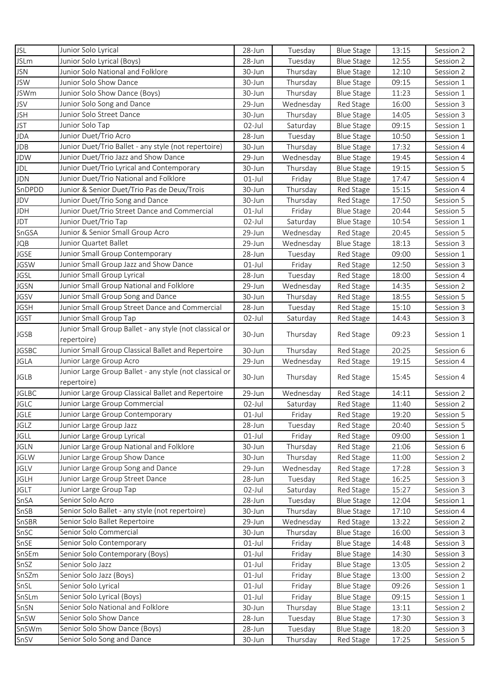| <b>JSL</b>    | Junior Solo Lyrical                                                    | 28-Jun           | Tuesday             | <b>Blue Stage</b>              | 13:15          | Session 2              |
|---------------|------------------------------------------------------------------------|------------------|---------------------|--------------------------------|----------------|------------------------|
| <b>JSLm</b>   | Junior Solo Lyrical (Boys)                                             | 28-Jun           | Tuesday             | <b>Blue Stage</b>              | 12:55          | Session 2              |
| <b>JSN</b>    | Junior Solo National and Folklore                                      | 30-Jun           | Thursday            | <b>Blue Stage</b>              | 12:10          | Session 2              |
| <b>JSW</b>    | Junior Solo Show Dance                                                 | 30-Jun           | Thursday            | <b>Blue Stage</b>              | 09:15          | Session 1              |
| <b>JSWm</b>   | Junior Solo Show Dance (Boys)                                          | 30-Jun           | Thursday            | <b>Blue Stage</b>              | 11:23          | Session 1              |
| <b>JSV</b>    | Junior Solo Song and Dance                                             | 29-Jun           | Wednesday           | Red Stage                      | 16:00          | Session 3              |
| <b>JSH</b>    | Junior Solo Street Dance                                               | 30-Jun           | Thursday            | <b>Blue Stage</b>              | 14:05          | Session 3              |
| <b>JST</b>    | Junior Solo Tap                                                        | $02$ -Jul        | Saturday            | <b>Blue Stage</b>              | 09:15          | Session 1              |
| <b>JDA</b>    | Junior Duet/Trio Acro                                                  | 28-Jun           | Tuesday             | <b>Blue Stage</b>              | 10:50          | Session 1              |
| <b>JDB</b>    | Junior Duet/Trio Ballet - any style (not repertoire)                   | 30-Jun           | Thursday            | <b>Blue Stage</b>              | 17:32          | Session 4              |
| <b>JDW</b>    | Junior Duet/Trio Jazz and Show Dance                                   | 29-Jun           | Wednesday           | <b>Blue Stage</b>              | 19:45          | Session 4              |
| JDL           | Junior Duet/Trio Lyrical and Contemporary                              | 30-Jun           | Thursday            | <b>Blue Stage</b>              | 19:15          | Session 5              |
| <b>JDN</b>    | Junior Duet/Trio National and Folklore                                 | $01$ -Jul        | Friday              | <b>Blue Stage</b>              | 17:47          | Session 4              |
| SnDPDD        | Junior & Senior Duet/Trio Pas de Deux/Trois                            | 30-Jun           | Thursday            | Red Stage                      | 15:15          | Session 4              |
| JDV           | Junior Duet/Trio Song and Dance                                        | 30-Jun           | Thursday            | Red Stage                      | 17:50          | Session 5              |
| <b>JDH</b>    | Junior Duet/Trio Street Dance and Commercial                           | $01$ -Jul        | Friday              | <b>Blue Stage</b>              | 20:44          | Session 5              |
| <b>JDT</b>    | Junior Duet/Trio Tap                                                   | $02$ -Jul        | Saturday            | <b>Blue Stage</b>              | 10:54          | Session 1              |
| SnGSA         | Junior & Senior Small Group Acro                                       | 29-Jun           | Wednesday           | Red Stage                      | 20:45          | Session 5              |
| <b>JQB</b>    | Junior Quartet Ballet                                                  | 29-Jun           | Wednesday           | <b>Blue Stage</b>              | 18:13          | Session 3              |
| <b>JGSE</b>   | Junior Small Group Contemporary                                        | 28-Jun           | Tuesday             | Red Stage                      | 09:00          | Session 1              |
| <b>JGSW</b>   | Junior Small Group Jazz and Show Dance                                 | $01$ -Jul        | Friday              | Red Stage                      | 12:50          | Session 3              |
| <b>JGSL</b>   | Junior Small Group Lyrical                                             | 28-Jun           | Tuesday             | Red Stage                      | 18:00          | Session 4              |
| <b>JGSN</b>   | Junior Small Group National and Folklore                               | 29-Jun           | Wednesday           | Red Stage                      | 14:35          | Session 2              |
| <b>JGSV</b>   | Junior Small Group Song and Dance                                      | 30-Jun           | Thursday            | Red Stage                      | 18:55          | Session 5              |
| <b>JGSH</b>   | Junior Small Group Street Dance and Commercial                         | 28-Jun           | Tuesday             | Red Stage                      | 15:10          | Session 3              |
| <b>JGST</b>   | Junior Small Group Tap                                                 | 02-Jul           | Saturday            | Red Stage                      | 14:43          | Session 3              |
|               | Junior Small Group Ballet - any style (not classical or                |                  |                     |                                |                |                        |
| <b>JGSB</b>   | repertoire)                                                            | 30-Jun           | Thursday            | Red Stage                      | 09:23          | Session 1              |
| <b>JGSBC</b>  | Junior Small Group Classical Ballet and Repertoire                     | 30-Jun           | Thursday            | Red Stage                      | 20:25          | Session 6              |
| <b>JGLA</b>   | Junior Large Group Acro                                                | 29-Jun           | Wednesday           | Red Stage                      | 19:15          | Session 4              |
| <b>JGLB</b>   | Junior Large Group Ballet - any style (not classical or<br>repertoire) | 30-Jun           | Thursday            | Red Stage                      | 15:45          | Session 4              |
| <b>JGLBC</b>  | Junior Large Group Classical Ballet and Repertoire                     | 29-Jun           | Wednesday           | Red Stage                      | 14:11          | Session 2              |
| <b>JGLC</b>   | Junior Large Group Commercial                                          | $02$ -Jul        | Saturday            | Red Stage                      | 11:40          | Session 2              |
| <b>JGLE</b>   | Junior Large Group Contemporary                                        | $01$ -Jul        | Friday              | Red Stage                      | 19:20          | Session 5              |
| <b>JGLZ</b>   | Junior Large Group Jazz                                                | 28-Jun           | Tuesday             | Red Stage                      | 20:40          | Session 5              |
| <b>JGLL</b>   | Junior Large Group Lyrical                                             | $01$ -Jul        | Friday              | Red Stage                      | 09:00          | Session 1              |
| <b>JGLN</b>   | Junior Large Group National and Folklore                               | 30-Jun           | Thursday            | Red Stage                      | 21:06          | Session 6              |
| <b>JGLW</b>   | Junior Large Group Show Dance                                          | 30-Jun           | Thursday            | Red Stage                      | 11:00          | Session 2              |
| JGLV          | Junior Large Group Song and Dance                                      | 29-Jun           | Wednesday           | Red Stage                      | 17:28          | Session 3              |
| <b>JGLH</b>   | Junior Large Group Street Dance                                        | 28-Jun           | Tuesday             | Red Stage                      | 16:25          | Session 3              |
| <b>JGLT</b>   | Junior Large Group Tap                                                 | $02$ -Jul        | Saturday            | Red Stage                      | 15:27          | Session 3              |
| SnSA          |                                                                        |                  |                     |                                |                |                        |
| SnSB          |                                                                        |                  |                     |                                |                |                        |
|               | Senior Solo Acro                                                       | 28-Jun           | Tuesday             | <b>Blue Stage</b>              | 12:04          | Session 1              |
|               | Senior Solo Ballet - any style (not repertoire)                        | 30-Jun           | Thursday            | <b>Blue Stage</b>              | 17:10          | Session 4              |
| SnSBR         | Senior Solo Ballet Repertoire                                          | 29-Jun           | Wednesday           | Red Stage                      | 13:22          | Session 2              |
| SnSC          | Senior Solo Commercial                                                 | 30-Jun           | Thursday            | <b>Blue Stage</b>              | 16:00          | Session 3              |
| SnSE          | Senior Solo Contemporary                                               | $01$ -Jul        | Friday              | <b>Blue Stage</b>              | 14:48          | Session 3              |
|               | Senior Solo Contemporary (Boys)                                        | $01$ -Jul        | Friday              | <b>Blue Stage</b>              | 14:30          | Session 3              |
| SnSEm<br>SnSZ | Senior Solo Jazz                                                       | $01$ -Jul        | Friday              | <b>Blue Stage</b>              | 13:05          | Session 2              |
| SnSZm         | Senior Solo Jazz (Boys)                                                | $01$ -Jul        | Friday              | <b>Blue Stage</b>              | 13:00          | Session 2              |
| SnSL          | Senior Solo Lyrical                                                    | $01$ -Jul        | Friday              | <b>Blue Stage</b>              | 09:26          | Session 1              |
| SnSLm         | Senior Solo Lyrical (Boys)                                             | $01$ -Jul        | Friday              | <b>Blue Stage</b>              | 09:15          | Session 1              |
| SnSN          | Senior Solo National and Folklore                                      | 30-Jun           | Thursday            | <b>Blue Stage</b>              | 13:11          | Session 2              |
| SnSW          | Senior Solo Show Dance                                                 | 28-Jun           | Tuesday             | <b>Blue Stage</b>              | 17:30          | Session 3              |
| SnSWm<br>SnSV | Senior Solo Show Dance (Boys)<br>Senior Solo Song and Dance            | 28-Jun<br>30-Jun | Tuesday<br>Thursday | <b>Blue Stage</b><br>Red Stage | 18:20<br>17:25 | Session 3<br>Session 5 |